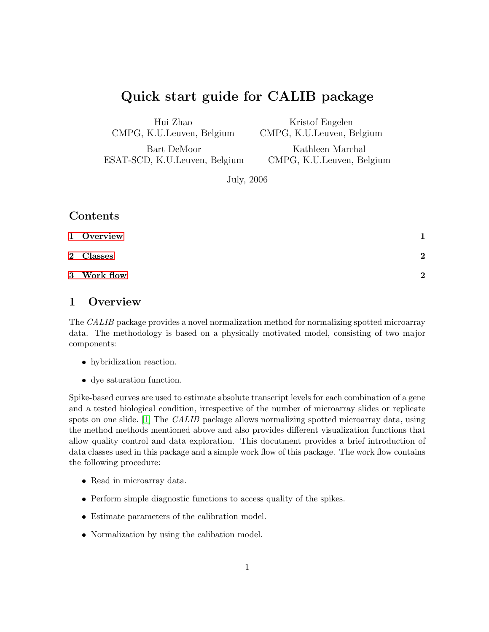# Quick start guide for CALIB package

Hui Zhao CMPG, K.U.Leuven, Belgium

Kristof Engelen CMPG, K.U.Leuven, Belgium

Bart DeMoor ESAT-SCD, K.U.Leuven, Belgium

Kathleen Marchal CMPG, K.U.Leuven, Belgium

July, 2006

# Contents

| 1 Overview  |                |
|-------------|----------------|
| 2 Classes   | $\overline{2}$ |
| 3 Work flow | $\mathbf{p}$   |

# <span id="page-0-0"></span>1 Overview

The CALIB package provides a novel normalization method for normalizing spotted microarray data. The methodology is based on a physically motivated model, consisting of two major components:

- hybridization reaction.
- dye saturation function.

Spike-based curves are used to estimate absolute transcript levels for each combination of a gene and a tested biological condition, irrespective of the number of microarray slides or replicate spots on one slide. [\[1\]](#page-5-0) The CALIB package allows normalizing spotted microarray data, using the method methods mentioned above and also provides different visualization functions that allow quality control and data exploration. This docutment provides a brief introduction of data classes used in this package and a simple work flow of this package. The work flow contains the following procedure:

- Read in microarray data.
- Perform simple diagnostic functions to access quality of the spikes.
- Estimate parameters of the calibration model.
- Normalization by using the calibation model.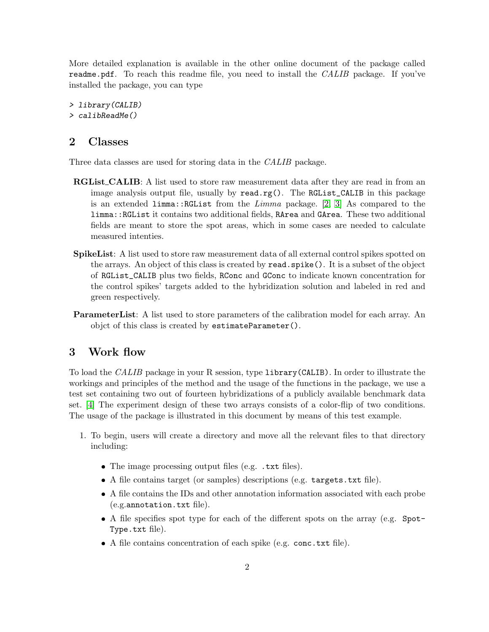More detailed explanation is available in the other online document of the package called readme.pdf. To reach this readme file, you need to install the CALIB package. If you've installed the package, you can type

> library(CALIB) > calibReadMe()

#### <span id="page-1-0"></span>2 Classes

Three data classes are used for storing data in the CALIB package.

- **RGList\_CALIB:** A list used to store raw measurement data after they are read in from an image analysis output file, usually by read.rg(). The RGList\_CALIB in this package is an extended limma::RGList from the *Limma* package. [\[2,](#page-5-1) [3\]](#page-5-2) As compared to the limma::RGList it contains two additional fields, RArea and GArea. These two additional fields are meant to store the spot areas, which in some cases are needed to calculate measured intenties.
- **SpikeList:** A list used to store raw measurement data of all external control spikes spotted on the arrays. An object of this class is created by read.spike(). It is a subset of the object of RGList\_CALIB plus two fields, RConc and GConc to indicate known concentration for the control spikes' targets added to the hybridization solution and labeled in red and green respectively.
- ParameterList: A list used to store parameters of the calibration model for each array. An objct of this class is created by estimateParameter().

# <span id="page-1-1"></span>3 Work flow

To load the CALIB package in your R session, type library(CALIB). In order to illustrate the workings and principles of the method and the usage of the functions in the package, we use a test set containing two out of fourteen hybridizations of a publicly available benchmark data set. [\[4\]](#page-5-3) The experiment design of these two arrays consists of a color-flip of two conditions. The usage of the package is illustrated in this document by means of this test example.

- 1. To begin, users will create a directory and move all the relevant files to that directory including:
	- The image processing output files (e.g. .txt files).
	- A file contains target (or samples) descriptions (e.g. targets.txt file).
	- A file contains the IDs and other annotation information associated with each probe (e.g.annotation.txt file).
	- A file specifies spot type for each of the different spots on the array (e.g. Spot-Type.txt file).
	- A file contains concentration of each spike (e.g. conc.txt file).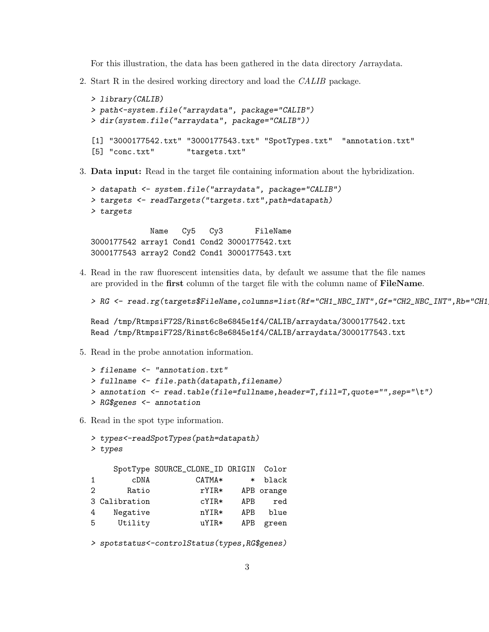For this illustration, the data has been gathered in the data directory /arraydata.

2. Start R in the desired working directory and load the CALIB package.

```
> library(CALIB)
> path<-system.file("arraydata", package="CALIB")
> dir(system.file("arraydata", package="CALIB"))
[1] "3000177542.txt" "3000177543.txt" "SpotTypes.txt" "annotation.txt"
[5] "conc.txt" "targets.txt"
```
3. Data input: Read in the target file containing information about the hybridization.

```
> datapath <- system.file("arraydata", package="CALIB")
> targets <- readTargets("targets.txt",path=datapath)
> targets
```
Name Cy5 Cy3 FileName 3000177542 array1 Cond1 Cond2 3000177542.txt 3000177543 array2 Cond2 Cond1 3000177543.txt

4. Read in the raw fluorescent intensities data, by default we assume that the file names are provided in the first column of the target file with the column name of FileName.

```
> RG <- read.rg(targets$FileName,columns=list(Rf="CH1_NBC_INT",Gf="CH2_NBC_INT",Rb="CH1
```

```
Read /tmp/RtmpsiF72S/Rinst6c8e6845e1f4/CALIB/arraydata/3000177542.txt
Read /tmp/RtmpsiF72S/Rinst6c8e6845e1f4/CALIB/arraydata/3000177543.txt
```
5. Read in the probe annotation information.

```
> filename <- "annotation.txt"
> fullname <- file.path(datapath,filename)
> annotation <- read.table(file=fullname,header=T,fill=T,quote="",sep="\t")
> RG$genes <- annotation
```
6. Read in the spot type information.

```
> types<-readSpotTypes(path=datapath)
> types
```

|            |        | SpotType SOURCE_CLONE_ID ORIGIN Color |               |                   |
|------------|--------|---------------------------------------|---------------|-------------------|
| black      | $\ast$ | $CATMA*$                              | cDNA          | $\mathbf{1}$      |
| APB orange |        | $rYIR*$                               | Ratio         | $\mathcal{D}_{1}$ |
| red        | APB    | $cYIR*$                               | 3 Calibration |                   |
| blue       | APB    | $nYIR*$                               | Negative      | 4                 |
| green      | APB    | $uYIR*$                               | Utility       | 5                 |

> spotstatus<-controlStatus(types,RG\$genes)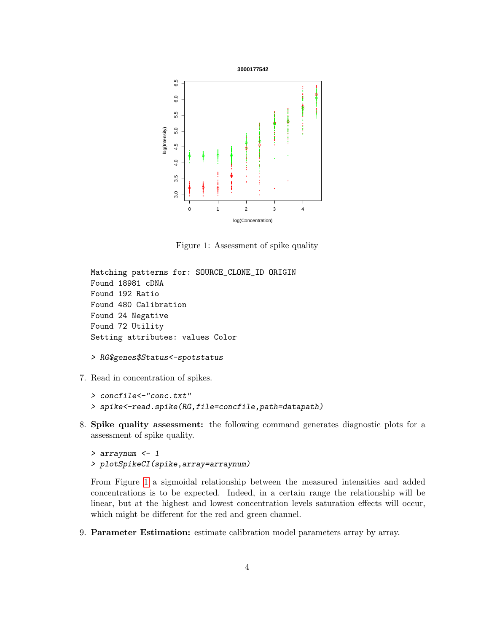

<span id="page-3-0"></span>Figure 1: Assessment of spike quality

```
Matching patterns for: SOURCE_CLONE_ID ORIGIN
Found 18981 cDNA
Found 192 Ratio
Found 480 Calibration
Found 24 Negative
Found 72 Utility
Setting attributes: values Color
```

```
> RG$genes$Status<-spotstatus
```
7. Read in concentration of spikes.

```
> concfile<-"conc.txt"
```
- > spike<-read.spike(RG,file=concfile,path=datapath)
- 8. Spike quality assessment: the following command generates diagnostic plots for a assessment of spike quality.

```
> arraynum <- 1
> plotSpikeCI(spike,array=arraynum)
```
From Figure [1](#page-3-0) a sigmoidal relationship between the measured intensities and added concentrations is to be expected. Indeed, in a certain range the relationship will be linear, but at the highest and lowest concentration levels saturation effects will occur, which might be different for the red and green channel.

9. Parameter Estimation: estimate calibration model parameters array by array.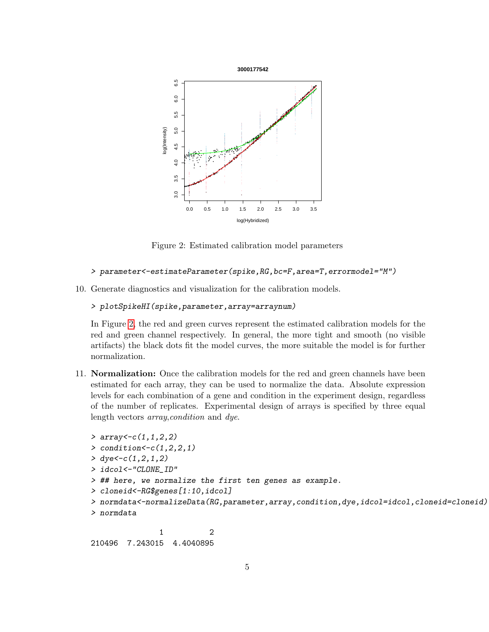

<span id="page-4-0"></span>Figure 2: Estimated calibration model parameters

```
> parameter<-estimateParameter(spike,RG,bc=F,area=T,errormodel="M")
```
10. Generate diagnostics and visualization for the calibration models.

```
> plotSpikeHI(spike,parameter,array=arraynum)
```
In Figure [2,](#page-4-0) the red and green curves represent the estimated calibration models for the red and green channel respectively. In general, the more tight and smooth (no visible artifacts) the black dots fit the model curves, the more suitable the model is for further normalization.

11. Normalization: Once the calibration models for the red and green channels have been estimated for each array, they can be used to normalize the data. Absolute expression levels for each combination of a gene and condition in the experiment design, regardless of the number of replicates. Experimental design of arrays is specified by three equal length vectors array,condition and dye.

```
> array<-c(1,1,2,2)> condition <-c(1,2,2,1)> dye<-c(1,2,1,2)> idcol<-"CLONE_ID"
> ## here, we normalize the first ten genes as example.
> cloneid<-RG$genes[1:10,idcol]
> normdata<-normalizeData(RG,parameter,array,condition,dye,idcol=idcol,cloneid=cloneid)
> normdata
```
1 2 210496 7.243015 4.4040895